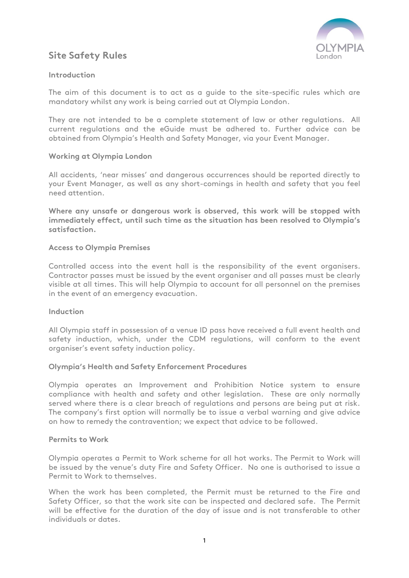

# **Site Safety Rules**

# **Introduction**

The aim of this document is to act as a guide to the site-specific rules which are mandatory whilst any work is being carried out at Olympia London.

They are not intended to be a complete statement of law or other regulations. All current regulations and the eGuide must be adhered to. Further advice can be obtained from Olympia's Health and Safety Manager, via your Event Manager.

# **Working at Olympia London**

All accidents, 'near misses' and dangerous occurrences should be reported directly to your Event Manager, as well as any short-comings in health and safety that you feel need attention.

**Where any unsafe or dangerous work is observed, this work will be stopped with immediately effect, until such time as the situation has been resolved to Olympia's satisfaction.**

#### **Access to Olympia Premises**

Controlled access into the event hall is the responsibility of the event organisers. Contractor passes must be issued by the event organiser and all passes must be clearly visible at all times. This will help Olympia to account for all personnel on the premises in the event of an emergency evacuation.

# **Induction**

All Olympia staff in possession of a venue ID pass have received a full event health and safety induction, which, under the CDM regulations, will conform to the event organiser's event safety induction policy.

# **Olympia's Health and Safety Enforcement Procedures**

Olympia operates an Improvement and Prohibition Notice system to ensure compliance with health and safety and other legislation. These are only normally served where there is a clear breach of regulations and persons are being put at risk. The company's first option will normally be to issue a verbal warning and give advice on how to remedy the contravention; we expect that advice to be followed.

#### **Permits to Work**

Olympia operates a Permit to Work scheme for all hot works. The Permit to Work will be issued by the venue's duty Fire and Safety Officer. No one is authorised to issue a Permit to Work to themselves.

When the work has been completed, the Permit must be returned to the Fire and Safety Officer, so that the work site can be inspected and declared safe. The Permit will be effective for the duration of the day of issue and is not transferable to other individuals or dates.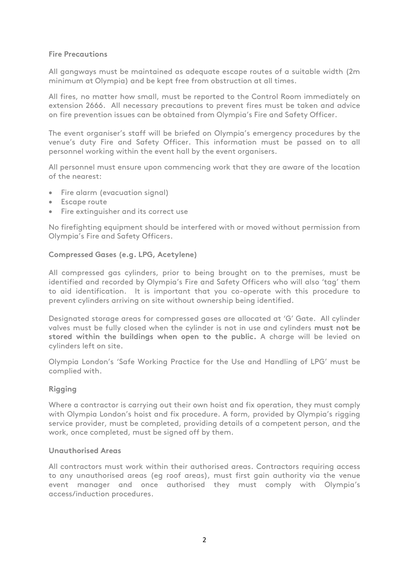# **Fire Precautions**

All gangways must be maintained as adequate escape routes of a suitable width (2m minimum at Olympia) and be kept free from obstruction at all times.

All fires, no matter how small, must be reported to the Control Room immediately on extension 2666. All necessary precautions to prevent fires must be taken and advice on fire prevention issues can be obtained from Olympia's Fire and Safety Officer.

The event organiser's staff will be briefed on Olympia's emergency procedures by the venue's duty Fire and Safety Officer. This information must be passed on to all personnel working within the event hall by the event organisers.

All personnel must ensure upon commencing work that they are aware of the location of the nearest:

- Fire alarm (evacuation signal)
- **•** Escape route
- Fire extinguisher and its correct use

No firefighting equipment should be interfered with or moved without permission from Olympia's Fire and Safety Officers.

# **Compressed Gases (e.g. LPG, Acetylene)**

All compressed gas cylinders, prior to being brought on to the premises, must be identified and recorded by Olympia's Fire and Safety Officers who will also 'tag' them to aid identification. It is important that you co-operate with this procedure to prevent cylinders arriving on site without ownership being identified.

Designated storage areas for compressed gases are allocated at 'G' Gate. All cylinder valves must be fully closed when the cylinder is not in use and cylinders **must not be stored within the buildings when open to the public.** A charge will be levied on cylinders left on site.

Olympia London's 'Safe Working Practice for the Use and Handling of LPG' must be complied with.

# **Rigging**

Where a contractor is carrying out their own hoist and fix operation, they must comply with Olympia London's hoist and fix procedure. A form, provided by Olympia's rigging service provider, must be completed, providing details of a competent person, and the work, once completed, must be signed off by them.

# **Unauthorised Areas**

All contractors must work within their authorised areas. Contractors requiring access to any unauthorised areas (eg roof areas), must first gain authority via the venue event manager and once authorised they must comply with Olympia's access/induction procedures.